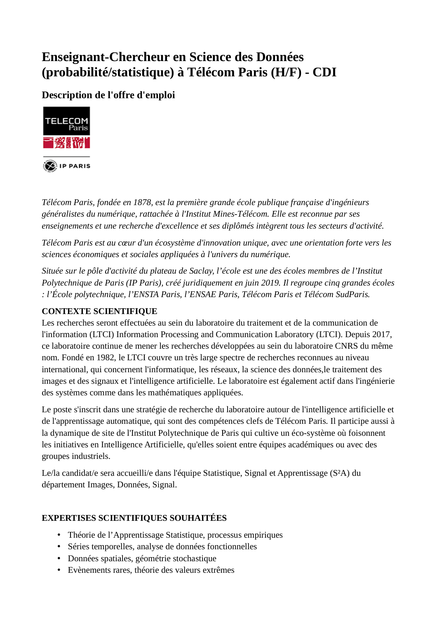# **Enseignant-Chercheur en Science des Données** (probabilité/statistique) à Télécom Paris (H/F) - CDI

## Description de l'offre d'emploi



Télécom Paris, fondée en 1878, est la première grande école publique française d'ingénieurs généralistes du numérique, rattachée à l'Institut Mines-Télécom. Elle est reconnue par ses enseignements et une recherche d'excellence et ses diplômés intègrent tous les secteurs d'activité.

Télécom Paris est au cœur d'un écosystème d'innovation unique, avec une orientation forte vers les sciences économiques et sociales appliquées à l'univers du numérique.

Située sur le pôle d'activité du plateau de Saclay, l'école est une des écoles membres de l'Institut Polytechnique de Paris (IP Paris), créé juridiquement en juin 2019. Il regroupe cinq grandes écoles : l'École polytechnique, l'ENSTA Paris, l'ENSAE Paris, Télécom Paris et Télécom SudParis.

## **CONTEXTE SCIENTIFIQUE**

Les recherches seront effectuées au sein du laboratoire du traitement et de la communication de l'information (LTCI) Information Processing and Communication Laboratory (LTCI). Depuis 2017, ce laboratoire continue de mener les recherches développées au sein du laboratoire CNRS du même nom. Fondé en 1982, le LTCI couvre un très large spectre de recherches reconnues au niveau international, qui concernent l'informatique, les réseaux, la science des données, le traitement des images et des signaux et l'intelligence artificielle. Le laboratoire est également actif dans l'ingénierie des systèmes comme dans les mathématiques appliquées.

Le poste s'inscrit dans une stratégie de recherche du laboratoire autour de l'intelligence artificielle et de l'apprentissage automatique, qui sont des compétences clefs de Télécom Paris. Il participe aussi à la dynamique de site de l'Institut Polytechnique de Paris qui cultive un éco-système où foisonnent les initiatives en Intelligence Artificielle, qu'elles soient entre équipes académiques ou avec des groupes industriels.

Le/la candidat/e sera accueilli/e dans l'équipe Statistique, Signal et Apprentissage (S<sup>2</sup>A) du département Images, Données, Signal.

## **EXPERTISES SCIENTIFIQUES SOUHAITÉES**

- Théorie de l'Apprentissage Statistique, processus empiriques
- Séries temporelles, analyse de données fonctionnelles
- · Données spatiales, géométrie stochastique
- Evènements rares, théorie des valeurs extrêmes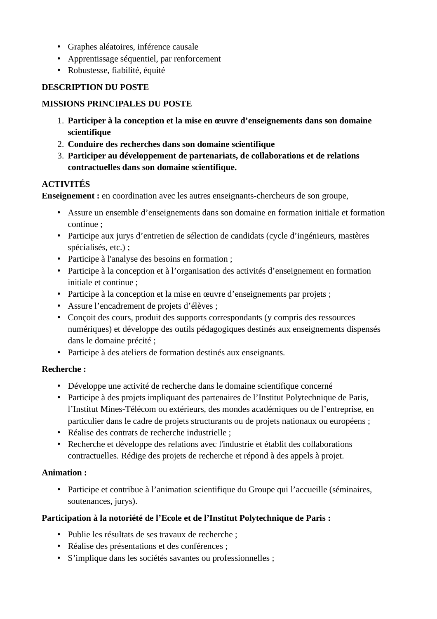- Graphes aléatoires, inférence causale
- Apprentissage séquentiel, par renforcement
- · Robustesse, fiabilité, équité

#### **DESCRIPTION DU POSTE**

#### **MISSIONS PRINCIPALES DU POSTE**

- 1. Participer à la conception et la mise en œuvre d'enseignements dans son domaine scientifique
- 2. Conduire des recherches dans son domaine scientifique
- 3. Participer au développement de partenariats, de collaborations et de relations contractuelles dans son domaine scientifique.

#### **ACTIVITÉS**

**Enseignement**: en coordination avec les autres enseignants-chercheurs de son groupe,

- Assure un ensemble d'enseignements dans son domaine en formation initiale et formation continue:
- Participe aux jurys d'entretien de sélection de candidats (cycle d'ingénieurs, mastères spécialisés, etc.) ;
- Participe à l'analyse des besoins en formation;
- Participe à la conception et à l'organisation des activités d'enseignement en formation initiale et continue :
- Participe à la conception et la mise en œuvre d'enseignements par projets ;
- · Assure l'encadrement de projets d'élèves ;
- Conçoit des cours, produit des supports correspondants (y compris des ressources numériques) et développe des outils pédagogiques destinés aux enseignements dispensés dans le domaine précité ;
- Participe à des ateliers de formation destinés aux enseignants.

#### **Recherche:**

- Développe une activité de recherche dans le domaine scientifique concerné
- Participe à des projets impliquant des partenaires de l'Institut Polytechnique de Paris, l'Institut Mines-Télécom ou extérieurs, des mondes académiques ou de l'entreprise, en particulier dans le cadre de projets structurants ou de projets nationaux ou européens ;
- Réalise des contrats de recherche industrielle ;
- Recherche et développe des relations avec l'industrie et établit des collaborations contractuelles. Rédige des projets de recherche et répond à des appels à projet.

#### Animation:

• Participe et contribue à l'animation scientifique du Groupe qui l'accueille (séminaires, soutenances, jurys).

#### Participation à la notoriété de l'Ecole et de l'Institut Polytechnique de Paris :

- · Publie les résultats de ses travaux de recherche ;
- Réalise des présentations et des conférences ;
- · S'implique dans les sociétés savantes ou professionnelles ;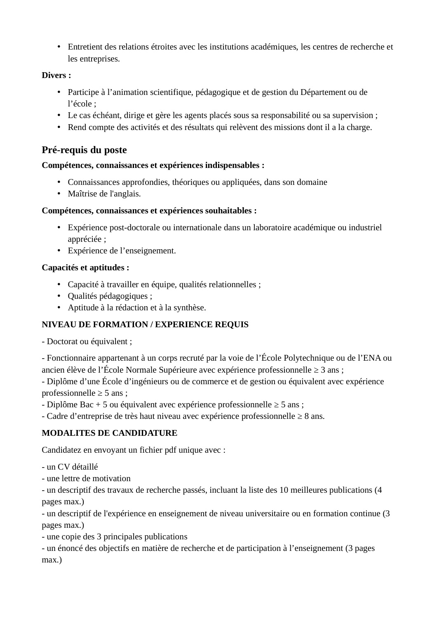• Entretient des relations étroites avec les institutions académiques, les centres de recherche et les entreprises.

#### Divers :

- · Participe à l'animation scientifique, pédagogique et de gestion du Département ou de l'école;
- Le cas échéant, dirige et gère les agents placés sous sa responsabilité ou sa supervision;
- Rend compte des activités et des résultats qui relèvent des missions dont il a la charge.

## Pré-requis du poste

#### Compétences, connaissances et expériences indispensables :

- Connaissances approfondies, théoriques ou appliquées, dans son domaine
- · Maîtrise de l'anglais.

## Compétences, connaissances et expériences souhaitables :

- Expérience post-doctorale ou internationale dans un laboratoire académique ou industriel appréciée :
- · Expérience de l'enseignement.

## Capacités et aptitudes :

- Capacité à travailler en équipe, qualités relationnelles ;
- Qualités pédagogiques ;
- Aptitude à la rédaction et à la synthèse.

## NIVEAU DE FORMATION / EXPERIENCE REQUIS

- Doctorat ou équivalent ;

- Fonctionnaire appartenant à un corps recruté par la voie de l'École Polytechnique ou de l'ENA ou ancien élève de l'École Normale Supérieure avec expérience professionnelle  $\geq 3$  ans;

- Diplôme d'une École d'ingénieurs ou de commerce et de gestion ou équivalent avec expérience professionnelle  $\geq$  5 ans :

- Diplôme Bac + 5 ou équivalent avec expérience professionnelle  $\geq$  5 ans ;

- Cadre d'entreprise de très haut niveau avec expérience professionnelle  $\geq 8$  ans.

## **MODALITES DE CANDIDATURE**

Candidatez en envoyant un fichier pdf unique avec :

- un CV détaillé
- une lettre de motivation

- un descriptif des travaux de recherche passés, incluant la liste des 10 meilleures publications (4 pages max.)

- un descriptif de l'expérience en enseignement de niveau universitaire ou en formation continue (3 pages max.)

- une copie des 3 principales publications

- un énoncé des objectifs en matière de recherche et de participation à l'enseignement (3 pages  $max.$ )